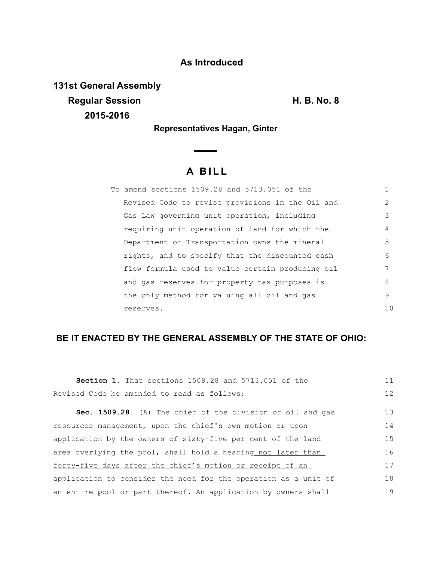### **As Introduced**

**131st General Assembly Regular Session Contract Contract Contract Contract Contract Contract Contract Contract Contract Contract Contract Contract Contract Contract Contract Contract Contract Contract Contract Contract Contract Contract Contrac 2015-2016**

**Representatives Hagan, Ginter** 

 $\overline{\phantom{0}}$ 

# **A B I L L**

| To amend sections 1509.28 and 5713.051 of the    |               |
|--------------------------------------------------|---------------|
| Revised Code to revise provisions in the Oil and | $\mathcal{L}$ |
| Gas Law governing unit operation, including      | 3             |
| requiring unit operation of land for which the   | 4             |
| Department of Transportation owns the mineral    | 5             |
| rights, and to specify that the discounted cash  | 6             |
| flow formula used to value certain producing oil | 7             |
| and gas reserves for property tax purposes is    | 8             |
| the only method for valuing all oil and gas      | 9             |
| reserves.                                        | 10            |

## **BE IT ENACTED BY THE GENERAL ASSEMBLY OF THE STATE OF OHIO:**

| <b>Section 1.</b> That sections 1509.28 and 5713.051 of the     | 11 |
|-----------------------------------------------------------------|----|
| Revised Code be amended to read as follows:                     | 12 |
| Sec. 1509.28. (A) The chief of the division of oil and gas      | 13 |
| resources management, upon the chief's own motion or upon       | 14 |
| application by the owners of sixty-five per cent of the land    | 15 |
| area overlying the pool, shall hold a hearing not later than    | 16 |
| forty-five days after the chief's motion or receipt of an       | 17 |
| application to consider the need for the operation as a unit of | 18 |
| an entire pool or part thereof. An application by owners shall  | 19 |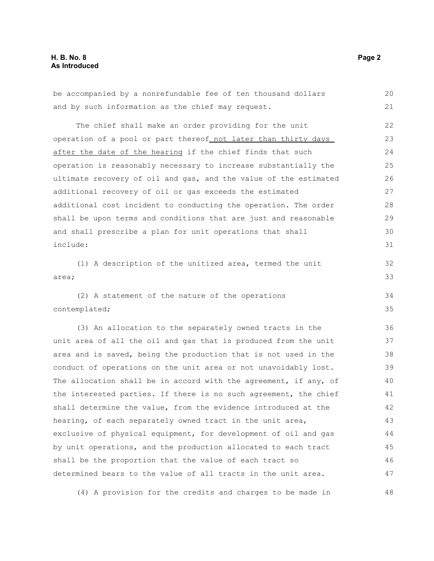#### **H. B. No. 8 Page 2 As Introduced**

be accompanied by a nonrefundable fee of ten thousand dollars and by such information as the chief may request. The chief shall make an order providing for the unit operation of a pool or part thereof not later than thirty days after the date of the hearing if the chief finds that such operation is reasonably necessary to increase substantially the ultimate recovery of oil and gas, and the value of the estimated additional recovery of oil or gas exceeds the estimated additional cost incident to conducting the operation. The order shall be upon terms and conditions that are just and reasonable and shall prescribe a plan for unit operations that shall include: (1) A description of the unitized area, termed the unit area; (2) A statement of the nature of the operations contemplated; (3) An allocation to the separately owned tracts in the unit area of all the oil and gas that is produced from the unit area and is saved, being the production that is not used in the conduct of operations on the unit area or not unavoidably lost. The allocation shall be in accord with the agreement, if any, of the interested parties. If there is no such agreement, the chief shall determine the value, from the evidence introduced at the hearing, of each separately owned tract in the unit area, exclusive of physical equipment, for development of oil and gas by unit operations, and the production allocated to each tract shall be the proportion that the value of each tract so determined bears to the value of all tracts in the unit area. 20 21 22 23 24 25 26 27 28 29 30 31 32 33 34 35 36 37 38 39 40 41 42 43 44 45 46 47

(4) A provision for the credits and charges to be made in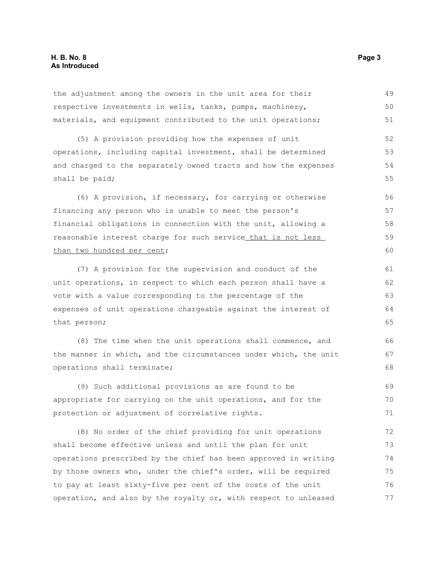the adjustment among the owners in the unit area for their respective investments in wells, tanks, pumps, machinery, materials, and equipment contributed to the unit operations; (5) A provision providing how the expenses of unit operations, including capital investment, shall be determined and charged to the separately owned tracts and how the expenses shall be paid; (6) A provision, if necessary, for carrying or otherwise financing any person who is unable to meet the person's financial obligations in connection with the unit, allowing a reasonable interest charge for such service that is not less than two hundred per cent; (7) A provision for the supervision and conduct of the unit operations, in respect to which each person shall have a vote with a value corresponding to the percentage of the expenses of unit operations chargeable against the interest of that person; (8) The time when the unit operations shall commence, and 49 50 51 52 53 54 55 56 57 58 59 60 61 62 63 64 65 66 67

the manner in which, and the circumstances under which, the unit operations shall terminate;

(9) Such additional provisions as are found to be appropriate for carrying on the unit operations, and for the protection or adjustment of correlative rights. 69 70 71

(B) No order of the chief providing for unit operations shall become effective unless and until the plan for unit operations prescribed by the chief has been approved in writing by those owners who, under the chief's order, will be required to pay at least sixty-five per cent of the costs of the unit operation, and also by the royalty or, with respect to unleased 72 73 74 75 76 77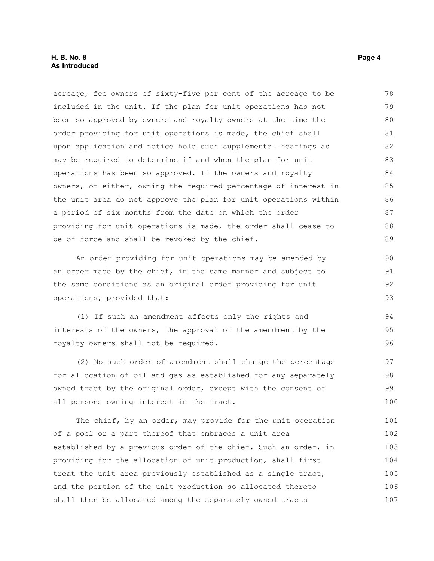#### **H. B. No. 8 Page 4 As Introduced**

acreage, fee owners of sixty-five per cent of the acreage to be included in the unit. If the plan for unit operations has not been so approved by owners and royalty owners at the time the order providing for unit operations is made, the chief shall upon application and notice hold such supplemental hearings as may be required to determine if and when the plan for unit operations has been so approved. If the owners and royalty owners, or either, owning the required percentage of interest in the unit area do not approve the plan for unit operations within a period of six months from the date on which the order providing for unit operations is made, the order shall cease to be of force and shall be revoked by the chief. 78 79 80 81 82 83 84 85 86 87 88 89

An order providing for unit operations may be amended by an order made by the chief, in the same manner and subject to the same conditions as an original order providing for unit operations, provided that: 90 91 92 93

(1) If such an amendment affects only the rights and interests of the owners, the approval of the amendment by the royalty owners shall not be required. 94 95 96

(2) No such order of amendment shall change the percentage for allocation of oil and gas as established for any separately owned tract by the original order, except with the consent of all persons owning interest in the tract. 97 98 99 100

The chief, by an order, may provide for the unit operation of a pool or a part thereof that embraces a unit area established by a previous order of the chief. Such an order, in providing for the allocation of unit production, shall first treat the unit area previously established as a single tract, and the portion of the unit production so allocated thereto shall then be allocated among the separately owned tracts 101 102 103 104 105 106 107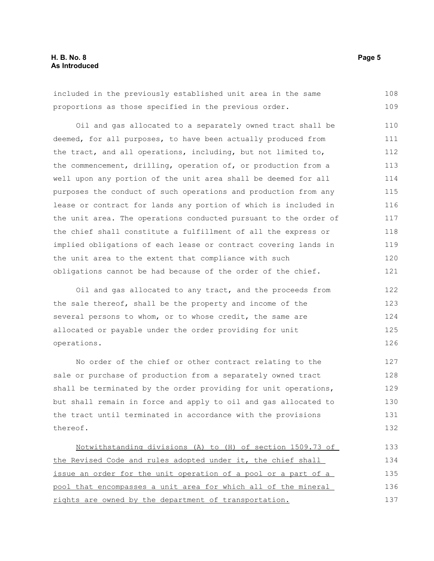#### **H. B. No. 8 Page 5 As Introduced**

included in the previously established unit area in the same proportions as those specified in the previous order. 108 109

Oil and gas allocated to a separately owned tract shall be deemed, for all purposes, to have been actually produced from the tract, and all operations, including, but not limited to, the commencement, drilling, operation of, or production from a well upon any portion of the unit area shall be deemed for all purposes the conduct of such operations and production from any lease or contract for lands any portion of which is included in the unit area. The operations conducted pursuant to the order of the chief shall constitute a fulfillment of all the express or implied obligations of each lease or contract covering lands in the unit area to the extent that compliance with such obligations cannot be had because of the order of the chief. 110 111 112 113 114 115 116 117 118 119 120 121

Oil and gas allocated to any tract, and the proceeds from the sale thereof, shall be the property and income of the several persons to whom, or to whose credit, the same are allocated or payable under the order providing for unit operations. 122 123 124 125 126

No order of the chief or other contract relating to the sale or purchase of production from a separately owned tract shall be terminated by the order providing for unit operations, but shall remain in force and apply to oil and gas allocated to the tract until terminated in accordance with the provisions thereof. 127 128 129 130 131 132

Notwithstanding divisions (A) to (H) of section 1509.73 of the Revised Code and rules adopted under it, the chief shall issue an order for the unit operation of a pool or a part of a pool that encompasses a unit area for which all of the mineral rights are owned by the department of transportation. 133 134 135 136 137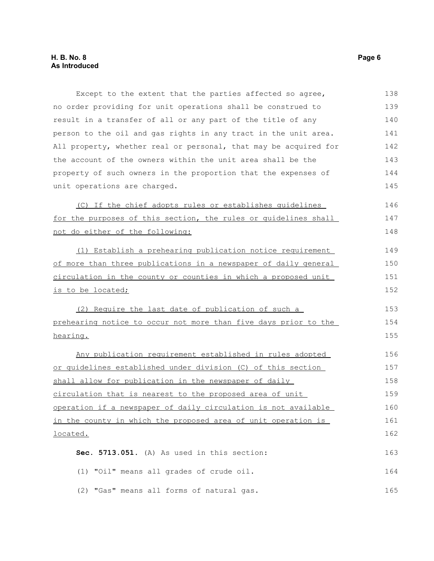Except to the extent that the parties affected so agree, no order providing for unit operations shall be construed to result in a transfer of all or any part of the title of any person to the oil and gas rights in any tract in the unit area. All property, whether real or personal, that may be acquired for the account of the owners within the unit area shall be the property of such owners in the proportion that the expenses of unit operations are charged. (C) If the chief adopts rules or establishes guidelines for the purposes of this section, the rules or guidelines shall not do either of the following: (1) Establish a prehearing publication notice requirement of more than three publications in a newspaper of daily general circulation in the county or counties in which a proposed unit is to be located; (2) Require the last date of publication of such a prehearing notice to occur not more than five days prior to the hearing. Any publication requirement established in rules adopted or guidelines established under division (C) of this section shall allow for publication in the newspaper of daily circulation that is nearest to the proposed area of unit operation if a newspaper of daily circulation is not available in the county in which the proposed area of unit operation is located. **Sec. 5713.051.** (A) As used in this section: (1) "Oil" means all grades of crude oil. (2) "Gas" means all forms of natural gas. 138 139 140 141 142 143 144 145 146 147 148 149 150 151 152 153 154 155 156 157 158 159 160 161 162 163 164 165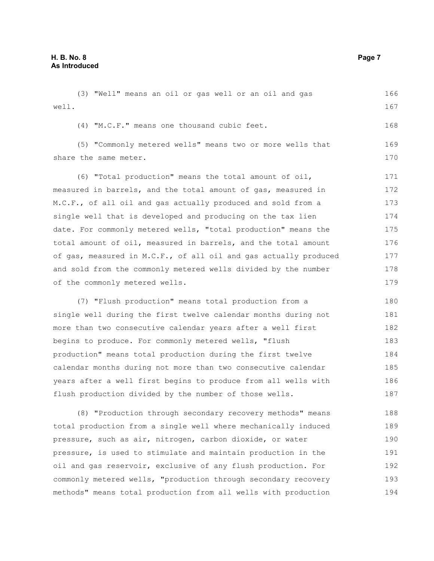(3) "Well" means an oil or gas well or an oil and gas well. (4) "M.C.F." means one thousand cubic feet. (5) "Commonly metered wells" means two or more wells that share the same meter. (6) "Total production" means the total amount of oil, measured in barrels, and the total amount of gas, measured in M.C.F., of all oil and gas actually produced and sold from a single well that is developed and producing on the tax lien date. For commonly metered wells, "total production" means the total amount of oil, measured in barrels, and the total amount of gas, measured in M.C.F., of all oil and gas actually produced and sold from the commonly metered wells divided by the number of the commonly metered wells. (7) "Flush production" means total production from a single well during the first twelve calendar months during not more than two consecutive calendar years after a well first 166 167 168 169 170 171 172 173 174 175 176 177 178 179 180 181 182 183

begins to produce. For commonly metered wells, "flush production" means total production during the first twelve calendar months during not more than two consecutive calendar years after a well first begins to produce from all wells with flush production divided by the number of those wells. 184 185 186 187

(8) "Production through secondary recovery methods" means total production from a single well where mechanically induced pressure, such as air, nitrogen, carbon dioxide, or water pressure, is used to stimulate and maintain production in the oil and gas reservoir, exclusive of any flush production. For commonly metered wells, "production through secondary recovery methods" means total production from all wells with production 188 189 190 191 192 193 194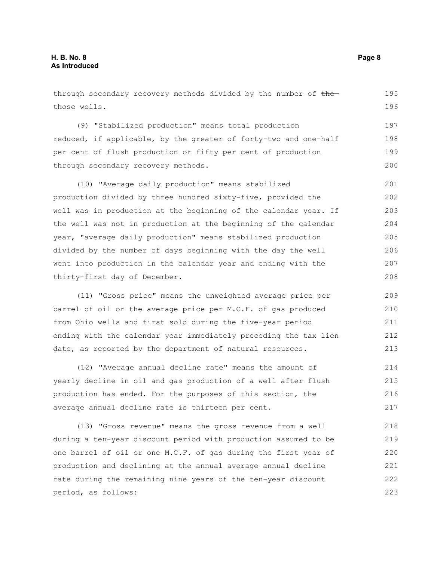through secondary recovery methods divided by the number of thethose wells. (9) "Stabilized production" means total production reduced, if applicable, by the greater of forty-two and one-half per cent of flush production or fifty per cent of production through secondary recovery methods. (10) "Average daily production" means stabilized production divided by three hundred sixty-five, provided the well was in production at the beginning of the calendar year. If the well was not in production at the beginning of the calendar year, "average daily production" means stabilized production divided by the number of days beginning with the day the well went into production in the calendar year and ending with the thirty-first day of December. (11) "Gross price" means the unweighted average price per barrel of oil or the average price per M.C.F. of gas produced from Ohio wells and first sold during the five-year period ending with the calendar year immediately preceding the tax lien date, as reported by the department of natural resources. 195 196 197 198 199 200 201 202 203 204 205 206 207 208 209 210 211 212 213

(12) "Average annual decline rate" means the amount of yearly decline in oil and gas production of a well after flush production has ended. For the purposes of this section, the average annual decline rate is thirteen per cent. 214 215 216 217

(13) "Gross revenue" means the gross revenue from a well during a ten-year discount period with production assumed to be one barrel of oil or one M.C.F. of gas during the first year of production and declining at the annual average annual decline rate during the remaining nine years of the ten-year discount period, as follows: 218 219 220 221 222 223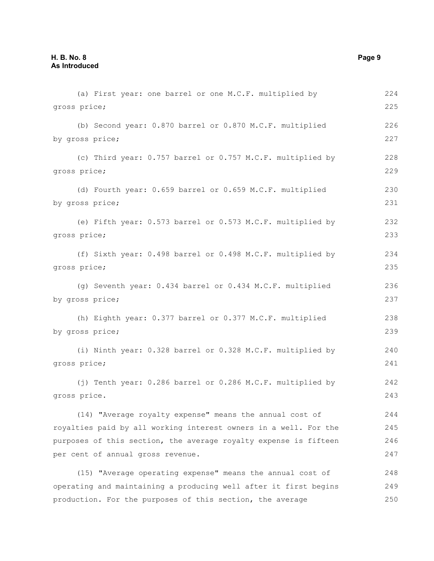(a) First year: one barrel or one M.C.F. multiplied by gross price; (b) Second year: 0.870 barrel or 0.870 M.C.F. multiplied by gross price; (c) Third year: 0.757 barrel or 0.757 M.C.F. multiplied by gross price; (d) Fourth year: 0.659 barrel or 0.659 M.C.F. multiplied by gross price; (e) Fifth year: 0.573 barrel or 0.573 M.C.F. multiplied by gross price; (f) Sixth year: 0.498 barrel or 0.498 M.C.F. multiplied by gross price; (g) Seventh year: 0.434 barrel or 0.434 M.C.F. multiplied by gross price; (h) Eighth year: 0.377 barrel or 0.377 M.C.F. multiplied by gross price; (i) Ninth year: 0.328 barrel or 0.328 M.C.F. multiplied by gross price; (j) Tenth year: 0.286 barrel or 0.286 M.C.F. multiplied by gross price. (14) "Average royalty expense" means the annual cost of royalties paid by all working interest owners in a well. For the purposes of this section, the average royalty expense is fifteen per cent of annual gross revenue. (15) "Average operating expense" means the annual cost of operating and maintaining a producing well after it first begins 224 225 226 227 228 229 230 231 232 233 234 235 236 237 238 239 240 241 242 243 244 245 246 247 248 249

production. For the purposes of this section, the average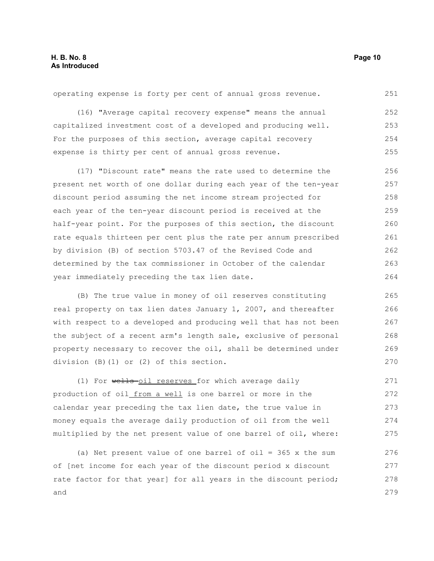operating expense is forty per cent of annual gross revenue. 251

(16) "Average capital recovery expense" means the annual capitalized investment cost of a developed and producing well. For the purposes of this section, average capital recovery expense is thirty per cent of annual gross revenue. 252 253 254 255

(17) "Discount rate" means the rate used to determine the present net worth of one dollar during each year of the ten-year discount period assuming the net income stream projected for each year of the ten-year discount period is received at the half-year point. For the purposes of this section, the discount rate equals thirteen per cent plus the rate per annum prescribed by division (B) of section 5703.47 of the Revised Code and determined by the tax commissioner in October of the calendar year immediately preceding the tax lien date. 256 257 258 259 260 261 262 263 264

(B) The true value in money of oil reserves constituting real property on tax lien dates January 1, 2007, and thereafter with respect to a developed and producing well that has not been the subject of a recent arm's length sale, exclusive of personal property necessary to recover the oil, shall be determined under division (B)(1) or (2) of this section. 265 266 267 268 269 270

(1) For wells-oil reserves for which average daily production of oil from a well is one barrel or more in the calendar year preceding the tax lien date, the true value in money equals the average daily production of oil from the well multiplied by the net present value of one barrel of oil, where: 271 272 273 274 275

(a) Net present value of one barrel of oil =  $365$  x the sum of [net income for each year of the discount period x discount rate factor for that year] for all years in the discount period; and 276 277 278 279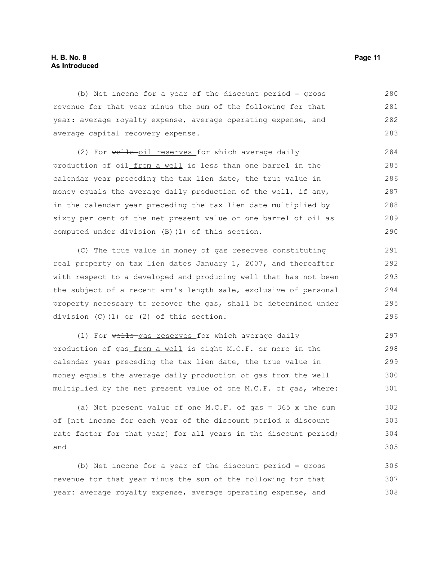#### **H. B. No. 8 Page 11 As Introduced**

(b) Net income for a year of the discount period = gross revenue for that year minus the sum of the following for that year: average royalty expense, average operating expense, and average capital recovery expense. 280 281 282 283

(2) For wells-oil reserves for which average daily production of oil from a well is less than one barrel in the calendar year preceding the tax lien date, the true value in money equals the average daily production of the well, if any, in the calendar year preceding the tax lien date multiplied by sixty per cent of the net present value of one barrel of oil as computed under division (B)(1) of this section. 284 285 286 287 288 289 290

(C) The true value in money of gas reserves constituting real property on tax lien dates January 1, 2007, and thereafter with respect to a developed and producing well that has not been the subject of a recent arm's length sale, exclusive of personal property necessary to recover the gas, shall be determined under division (C)(1) or (2) of this section. 291 292 293 294 295 296

(1) For wells-gas reserves for which average daily production of gas\_from a well is eight M.C.F. or more in the calendar year preceding the tax lien date, the true value in money equals the average daily production of gas from the well multiplied by the net present value of one M.C.F. of gas, where: 297 298 299 300 301

(a) Net present value of one  $M.C.F.$  of gas = 365 x the sum of [net income for each year of the discount period x discount rate factor for that year] for all years in the discount period; and 302 303 304 305

(b) Net income for a year of the discount period = gross revenue for that year minus the sum of the following for that year: average royalty expense, average operating expense, and 306 307 308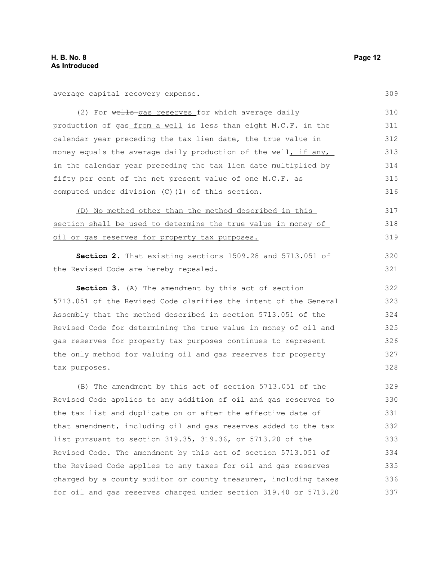average capital recovery expense.

(2) For wells-gas reserves for which average daily production of gas from a well is less than eight M.C.F. in the calendar year preceding the tax lien date, the true value in money equals the average daily production of the well, if any, in the calendar year preceding the tax lien date multiplied by fifty per cent of the net present value of one M.C.F. as computed under division (C)(1) of this section. 310 311 312 313 314 315 316

(D) No method other than the method described in this section shall be used to determine the true value in money of oil or gas reserves for property tax purposes.

**Section 2.** That existing sections 1509.28 and 5713.051 of the Revised Code are hereby repealed.

**Section 3.** (A) The amendment by this act of section 5713.051 of the Revised Code clarifies the intent of the General Assembly that the method described in section 5713.051 of the Revised Code for determining the true value in money of oil and gas reserves for property tax purposes continues to represent the only method for valuing oil and gas reserves for property tax purposes. 322 323 324 325 326 327 328

(B) The amendment by this act of section 5713.051 of the Revised Code applies to any addition of oil and gas reserves to the tax list and duplicate on or after the effective date of that amendment, including oil and gas reserves added to the tax list pursuant to section 319.35, 319.36, or 5713.20 of the Revised Code. The amendment by this act of section 5713.051 of the Revised Code applies to any taxes for oil and gas reserves charged by a county auditor or county treasurer, including taxes for oil and gas reserves charged under section 319.40 or 5713.20 329 330 331 332 333 334 335 336 337

309

317 318 319